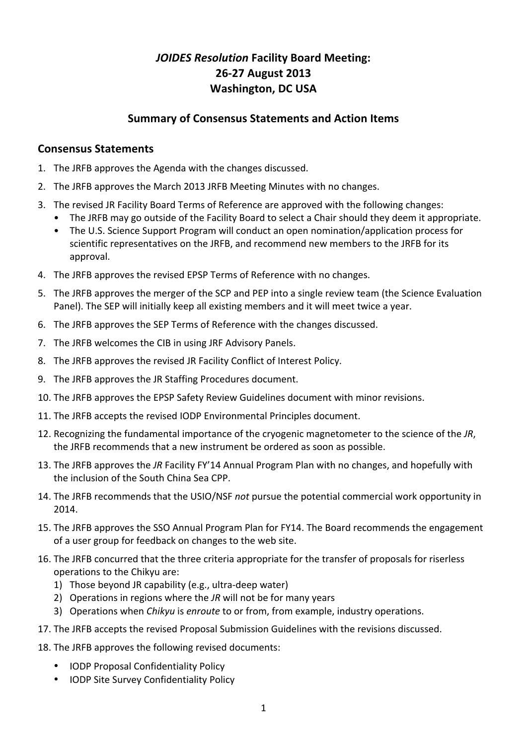# *JOIDES Resolution* Facility Board Meeting: **26-27 August 2013 Washington, DC USA**

# **Summary of Consensus Statements and Action Items**

### **Consensus Statements**

- 1. The JRFB approves the Agenda with the changes discussed.
- 2. The JRFB approves the March 2013 JRFB Meeting Minutes with no changes.
- 3. The revised JR Facility Board Terms of Reference are approved with the following changes:
	- The JRFB may go outside of the Facility Board to select a Chair should they deem it appropriate.
	- The U.S. Science Support Program will conduct an open nomination/application process for scientific representatives on the JRFB, and recommend new members to the JRFB for its approval.
- 4. The JRFB approves the revised EPSP Terms of Reference with no changes.
- 5. The JRFB approves the merger of the SCP and PEP into a single review team (the Science Evaluation Panel). The SEP will initially keep all existing members and it will meet twice a year.
- 6. The JRFB approves the SEP Terms of Reference with the changes discussed.
- 7. The JRFB welcomes the CIB in using JRF Advisory Panels.
- 8. The JRFB approves the revised JR Facility Conflict of Interest Policy.
- 9. The JRFB approves the JR Staffing Procedures document.
- 10. The JRFB approves the EPSP Safety Review Guidelines document with minor revisions.
- 11. The JRFB accepts the revised IODP Environmental Principles document.
- 12. Recognizing the fundamental importance of the cryogenic magnetometer to the science of the JR. the JRFB recommends that a new instrument be ordered as soon as possible.
- 13. The JRFB approves the JR Facility FY'14 Annual Program Plan with no changes, and hopefully with the inclusion of the South China Sea CPP.
- 14. The JRFB recommends that the USIO/NSF *not* pursue the potential commercial work opportunity in 2014.
- 15. The JRFB approves the SSO Annual Program Plan for FY14. The Board recommends the engagement of a user group for feedback on changes to the web site.
- 16. The JRFB concurred that the three criteria appropriate for the transfer of proposals for riserless operations to the Chikyu are:
	- 1) Those beyond JR capability (e.g., ultra-deep water)
	- 2) Operations in regions where the *JR* will not be for many years
	- 3) Operations when *Chikyu* is *enroute* to or from, from example, industry operations.
- 17. The JRFB accepts the revised Proposal Submission Guidelines with the revisions discussed.
- 18. The JRFB approves the following revised documents:
	- IODP Proposal Confidentiality Policy
	- IODP Site Survey Confidentiality Policy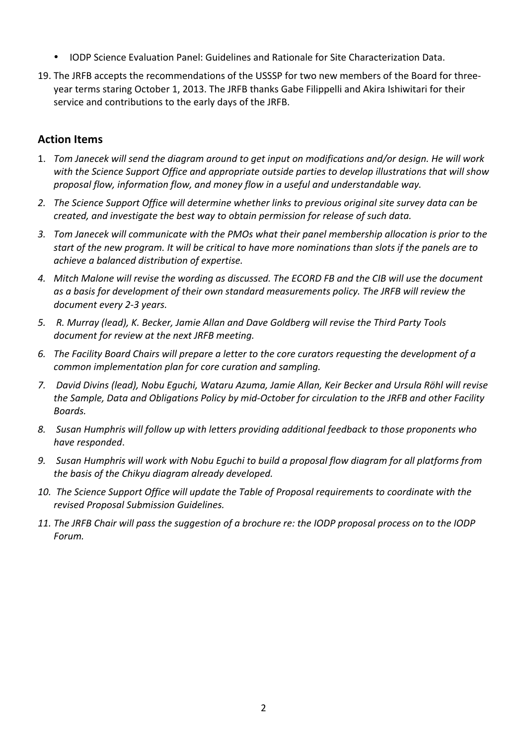- IODP Science Evaluation Panel: Guidelines and Rationale for Site Characterization Data.
- 19. The JRFB accepts the recommendations of the USSSP for two new members of the Board for threeyear terms staring October 1, 2013. The JRFB thanks Gabe Filippelli and Akira Ishiwitari for their service and contributions to the early days of the JRFB.

# **Action Items**

- 1. *Tom Janecek will send the diagram around to get input on modifications and/or design. He will work* with the Science Support Office and appropriate outside parties to develop illustrations that will show proposal flow, information flow, and money flow in a useful and understandable way.
- 2. The Science Support Office will determine whether links to previous original site survey data can be *created, and investigate the best way to obtain permission for release of such data.*
- 3. Tom Janecek will communicate with the PMOs what their panel membership allocation is prior to the start of the new program. It will be critical to have more nominations than slots if the panels are to *achieve a balanced distribution of expertise.*
- 4. Mitch Malone will revise the wording as discussed. The ECORD FB and the CIB will use the document as a basis for development of their own standard measurements policy. The JRFB will review the document every 2-3 years.
- 5. R. Murray (lead), K. Becker, Jamie Allan and Dave Goldberg will revise the Third Party Tools document for review at the next JRFB meeting.
- 6. The Facility Board Chairs will prepare a letter to the core curators requesting the development of a *common implementation plan for core curation and sampling.*
- 7. *David Divins (lead), Nobu Equchi, Wataru Azuma, Jamie Allan, Keir Becker and Ursula Röhl will revise* the Sample, Data and Obligations Policy by mid-October for circulation to the JRFB and other Facility *Boards.*
- 8. Susan Humphris will follow up with letters providing additional feedback to those proponents who *have responded*.
- 9. Susan Humphris will work with Nobu Equchi to build a proposal flow diagram for all platforms from *the basis of the Chikyu diagram already developed.*
- 10. The Science Support Office will update the Table of Proposal requirements to coordinate with the *revised Proposal Submission Guidelines.*
- 11. The JRFB Chair will pass the suggestion of a brochure re: the IODP proposal process on to the IODP *Forum.*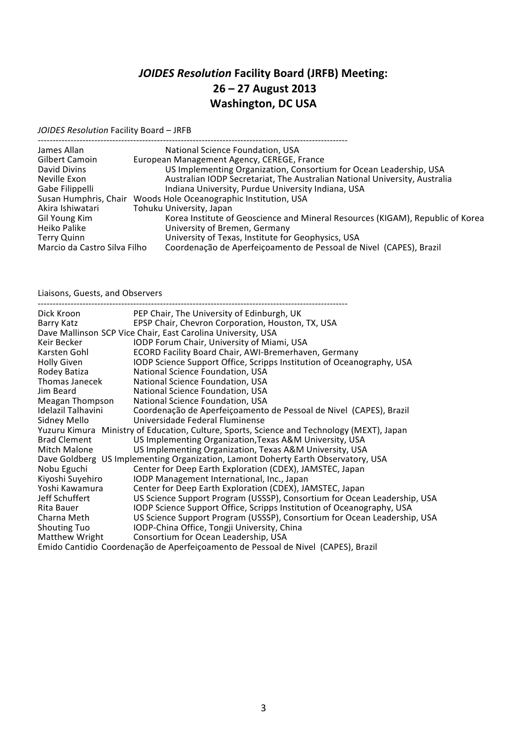# *JOIDES Resolution* **Facility Board (JRFB) Meeting: 26 – 27 August 2013 Washington, DC USA**

*JOIDES Resolution* Facility Board - JRFB

| National Science Foundation, USA                                                                   |
|----------------------------------------------------------------------------------------------------|
| European Management Agency, CEREGE, France                                                         |
| US Implementing Organization, Consortium for Ocean Leadership, USA                                 |
| Australian IODP Secretariat, The Australian National University, Australia                         |
| Indiana University, Purdue University Indiana, USA                                                 |
| Susan Humphris, Chair Woods Hole Oceanographic Institution, USA                                    |
| Tohuku University, Japan                                                                           |
| Korea Institute of Geoscience and Mineral Resources (KIGAM), Republic of Korea                     |
| University of Bremen, Germany                                                                      |
| University of Texas, Institute for Geophysics, USA                                                 |
| Coordenação de Aperfeiçoamento de Pessoal de Nivel (CAPES), Brazil<br>Marcio da Castro Silva Filho |
|                                                                                                    |

Liaisons, Guests, and Observers

| Dick Kroon          | PEP Chair, The University of Edinburgh, UK                                                 |
|---------------------|--------------------------------------------------------------------------------------------|
| Barry Katz          | EPSP Chair, Chevron Corporation, Houston, TX, USA                                          |
|                     | Dave Mallinson SCP Vice Chair, East Carolina University, USA                               |
| Keir Becker         | IODP Forum Chair, University of Miami, USA                                                 |
| Karsten Gohl        | ECORD Facility Board Chair, AWI-Bremerhaven, Germany                                       |
| <b>Holly Given</b>  | IODP Science Support Office, Scripps Institution of Oceanography, USA                      |
| Rodey Batiza        | National Science Foundation, USA                                                           |
| Thomas Janecek      | National Science Foundation, USA                                                           |
| Jim Beard           | National Science Foundation, USA                                                           |
| Meagan Thompson     | National Science Foundation, USA                                                           |
| Idelazil Talhavini  | Coordenação de Aperfeiçoamento de Pessoal de Nivel (CAPES), Brazil                         |
| Sidney Mello        | Universidade Federal Fluminense                                                            |
|                     | Yuzuru Kimura Ministry of Education, Culture, Sports, Science and Technology (MEXT), Japan |
| <b>Brad Clement</b> | US Implementing Organization, Texas A&M University, USA                                    |
| Mitch Malone        | US Implementing Organization, Texas A&M University, USA                                    |
|                     | Dave Goldberg US Implementing Organization, Lamont Doherty Earth Observatory, USA          |
| Nobu Eguchi         | Center for Deep Earth Exploration (CDEX), JAMSTEC, Japan                                   |
| Kiyoshi Suyehiro    | IODP Management International, Inc., Japan                                                 |
| Yoshi Kawamura      | Center for Deep Earth Exploration (CDEX), JAMSTEC, Japan                                   |
| Jeff Schuffert      | US Science Support Program (USSSP), Consortium for Ocean Leadership, USA                   |
| Rita Bauer          | IODP Science Support Office, Scripps Institution of Oceanography, USA                      |
| Charna Meth         | US Science Support Program (USSSP), Consortium for Ocean Leadership, USA                   |
| <b>Shouting Tuo</b> | IODP-China Office, Tongji University, China                                                |
| Matthew Wright      | Consortium for Ocean Leadership, USA                                                       |
|                     | Emido Cantidio Coordenação de Aperfeiçoamento de Pessoal de Nivel (CAPES), Brazil          |
|                     |                                                                                            |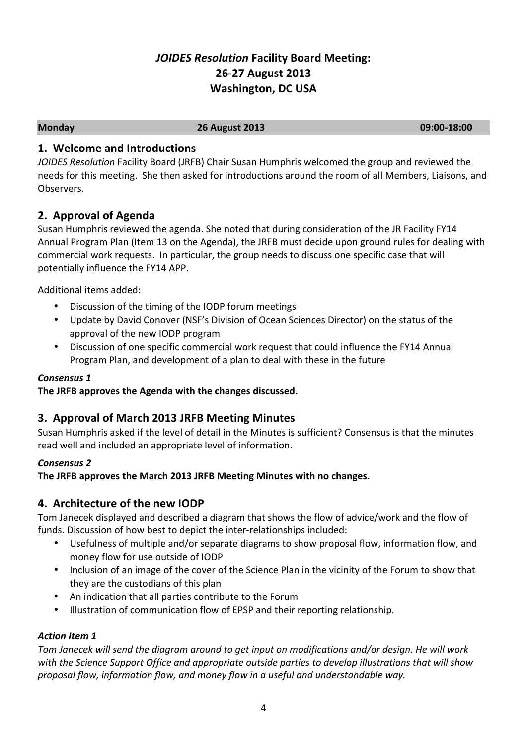# *JOIDES Resolution* Facility Board Meeting: **26-27 August 2013 Washington, DC USA**

**Monday 26 August 2013 09:00-18:00**

# **1. Welcome and Introductions**

*JOIDES Resolution* Facility Board (JRFB) Chair Susan Humphris welcomed the group and reviewed the needs for this meeting. She then asked for introductions around the room of all Members, Liaisons, and Observers. 

# **2. Approval of Agenda**

Susan Humphris reviewed the agenda. She noted that during consideration of the JR Facility FY14 Annual Program Plan (Item 13 on the Agenda), the JRFB must decide upon ground rules for dealing with commercial work requests. In particular, the group needs to discuss one specific case that will potentially influence the FY14 APP.

Additional items added:

- Discussion of the timing of the IODP forum meetings
- Update by David Conover (NSF's Division of Ocean Sciences Director) on the status of the approval of the new IODP program
- Discussion of one specific commercial work request that could influence the FY14 Annual Program Plan, and development of a plan to deal with these in the future

# *Consensus 1*

The JRFB approves the Agenda with the changes discussed.

# **3. Approval of March 2013 JRFB Meeting Minutes**

Susan Humphris asked if the level of detail in the Minutes is sufficient? Consensus is that the minutes read well and included an appropriate level of information.

# *Consensus 2*

**The JRFB approves the March 2013 JRFB Meeting Minutes with no changes.** 

# **4. Architecture of the new IODP**

Tom Janecek displayed and described a diagram that shows the flow of advice/work and the flow of funds. Discussion of how best to depict the inter-relationships included:

- Usefulness of multiple and/or separate diagrams to show proposal flow, information flow, and money flow for use outside of IODP
- Inclusion of an image of the cover of the Science Plan in the vicinity of the Forum to show that they are the custodians of this plan
- An indication that all parties contribute to the Forum
- Illustration of communication flow of EPSP and their reporting relationship.

#### *Action Item 1*

Tom Janecek will send the diagram around to get input on modifications and/or design. He will work with the Science Support Office and appropriate outside parties to develop illustrations that will show proposal flow, information flow, and money flow in a useful and understandable way.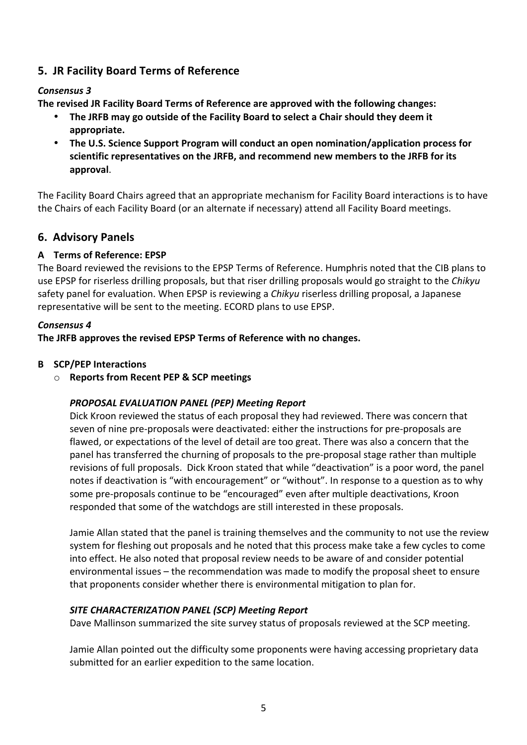# **5. JR Facility Board Terms of Reference**

#### *Consensus 3*

**The revised JR Facility Board Terms of Reference are approved with the following changes:** 

- The JRFB may go outside of the Facility Board to select a Chair should they deem it **appropriate.**
- The U.S. Science Support Program will conduct an open nomination/application process for scientific representatives on the JRFB, and recommend new members to the JRFB for its **approval**.

The Facility Board Chairs agreed that an appropriate mechanism for Facility Board interactions is to have the Chairs of each Facility Board (or an alternate if necessary) attend all Facility Board meetings.

# **6. Advisory Panels**

### **A Terms of Reference: EPSP**

The Board reviewed the revisions to the EPSP Terms of Reference. Humphris noted that the CIB plans to use EPSP for riserless drilling proposals, but that riser drilling proposals would go straight to the *Chikyu* safety panel for evaluation. When EPSP is reviewing a *Chikyu* riserless drilling proposal, a Japanese representative will be sent to the meeting. ECORD plans to use EPSP.

#### *Consensus 4*

The JRFB approves the revised EPSP Terms of Reference with no changes.

### **B SCP/PEP** Interactions

o **Reports from Recent PEP & SCP meetings**

#### *PROPOSAL EVALUATION PANEL (PEP) Meeting Report*

Dick Kroon reviewed the status of each proposal they had reviewed. There was concern that seven of nine pre-proposals were deactivated: either the instructions for pre-proposals are flawed, or expectations of the level of detail are too great. There was also a concern that the panel has transferred the churning of proposals to the pre-proposal stage rather than multiple revisions of full proposals. Dick Kroon stated that while "deactivation" is a poor word, the panel notes if deactivation is "with encouragement" or "without". In response to a question as to why some pre-proposals continue to be "encouraged" even after multiple deactivations, Kroon responded that some of the watchdogs are still interested in these proposals.

Jamie Allan stated that the panel is training themselves and the community to not use the review system for fleshing out proposals and he noted that this process make take a few cycles to come into effect. He also noted that proposal review needs to be aware of and consider potential environmental issues – the recommendation was made to modify the proposal sheet to ensure that proponents consider whether there is environmental mitigation to plan for.

#### **SITE CHARACTERIZATION PANEL (SCP) Meeting Report**

Dave Mallinson summarized the site survey status of proposals reviewed at the SCP meeting.

Jamie Allan pointed out the difficulty some proponents were having accessing proprietary data submitted for an earlier expedition to the same location.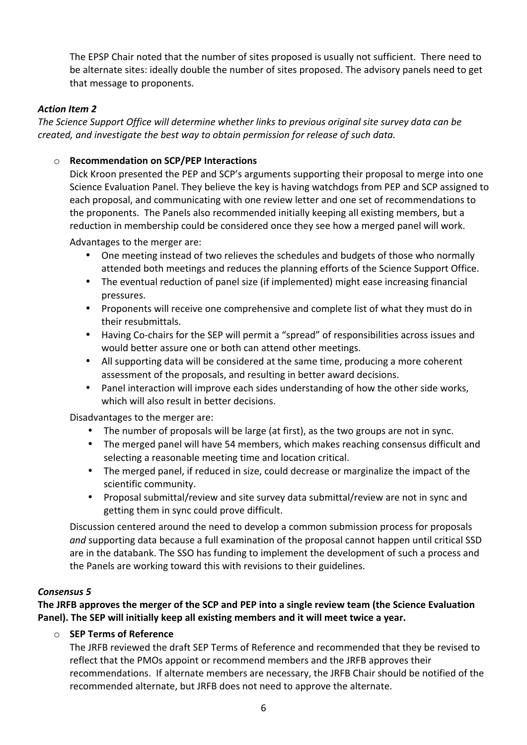The EPSP Chair noted that the number of sites proposed is usually not sufficient. There need to be alternate sites: ideally double the number of sites proposed. The advisory panels need to get that message to proponents.

### **Action Item 2**

The Science Support Office will determine whether links to previous original site survey data can be *created, and investigate the best way to obtain permission for release of such data.* 

#### $\circ$  **Recommendation on SCP/PEP Interactions**

Dick Kroon presented the PEP and SCP's arguments supporting their proposal to merge into one Science Evaluation Panel. They believe the key is having watchdogs from PEP and SCP assigned to each proposal, and communicating with one review letter and one set of recommendations to the proponents. The Panels also recommended initially keeping all existing members, but a reduction in membership could be considered once they see how a merged panel will work.

Advantages to the merger are:

- One meeting instead of two relieves the schedules and budgets of those who normally attended both meetings and reduces the planning efforts of the Science Support Office.
- The eventual reduction of panel size (if implemented) might ease increasing financial pressures.
- Proponents will receive one comprehensive and complete list of what they must do in their resubmittals.
- Having Co-chairs for the SEP will permit a "spread" of responsibilities across issues and would better assure one or both can attend other meetings.
- All supporting data will be considered at the same time, producing a more coherent assessment of the proposals, and resulting in better award decisions.
- Panel interaction will improve each sides understanding of how the other side works, which will also result in better decisions.

Disadvantages to the merger are:

- The number of proposals will be large (at first), as the two groups are not in sync.
- The merged panel will have 54 members, which makes reaching consensus difficult and selecting a reasonable meeting time and location critical.
- The merged panel, if reduced in size, could decrease or marginalize the impact of the scientific community.
- Proposal submittal/review and site survey data submittal/review are not in sync and getting them in sync could prove difficult.

Discussion centered around the need to develop a common submission process for proposals and supporting data because a full examination of the proposal cannot happen until critical SSD are in the databank. The SSO has funding to implement the development of such a process and the Panels are working toward this with revisions to their guidelines.

#### *Consensus 5*

The JRFB approves the merger of the SCP and PEP into a single review team (the Science Evaluation Panel). The SEP will initially keep all existing members and it will meet twice a year.

#### o **SEP Terms of Reference**

The JRFB reviewed the draft SEP Terms of Reference and recommended that they be revised to reflect that the PMOs appoint or recommend members and the JRFB approves their recommendations. If alternate members are necessary, the JRFB Chair should be notified of the recommended alternate, but JRFB does not need to approve the alternate.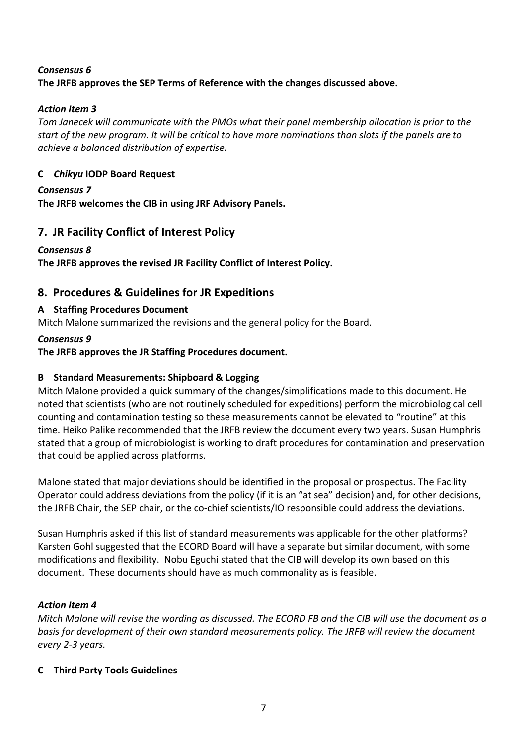### *Consensus 6* The JRFB approves the SEP Terms of Reference with the changes discussed above.

# **Action Item 3**

Tom Janecek will communicate with the PMOs what their panel membership allocation is prior to the start of the new program. It will be critical to have more nominations than slots if the panels are to *achieve a balanced distribution of expertise.*

# **C** *Chikyu* **IODP Board Request**

# *Consensus 7*

The JRFB welcomes the CIB in using JRF Advisory Panels.

# **7. JR Facility Conflict of Interest Policy**

# *Consensus 8*

The JRFB approves the revised JR Facility Conflict of Interest Policy.

# **8. Procedures & Guidelines for JR Expeditions**

# **A Staffing Procedures Document**

Mitch Malone summarized the revisions and the general policy for the Board.

#### *Consensus 9*

# The JRFB approves the JR Staffing Procedures document.

# **B Standard Measurements: Shipboard & Logging**

Mitch Malone provided a quick summary of the changes/simplifications made to this document. He noted that scientists (who are not routinely scheduled for expeditions) perform the microbiological cell counting and contamination testing so these measurements cannot be elevated to "routine" at this time. Heiko Palike recommended that the JRFB review the document every two years. Susan Humphris stated that a group of microbiologist is working to draft procedures for contamination and preservation that could be applied across platforms.

Malone stated that major deviations should be identified in the proposal or prospectus. The Facility Operator could address deviations from the policy (if it is an "at sea" decision) and, for other decisions, the JRFB Chair, the SEP chair, or the co-chief scientists/IO responsible could address the deviations.

Susan Humphris asked if this list of standard measurements was applicable for the other platforms? Karsten Gohl suggested that the ECORD Board will have a separate but similar document, with some modifications and flexibility. Nobu Eguchi stated that the CIB will develop its own based on this document. These documents should have as much commonality as is feasible.

# **Action Item 4**

*Mitch Malone will revise the wording as discussed. The ECORD FB and the CIB will use the document as a basis for development of their own standard measurements policy. The JRFB will review the document every 2-3 years.*

# **C Third Party Tools Guidelines**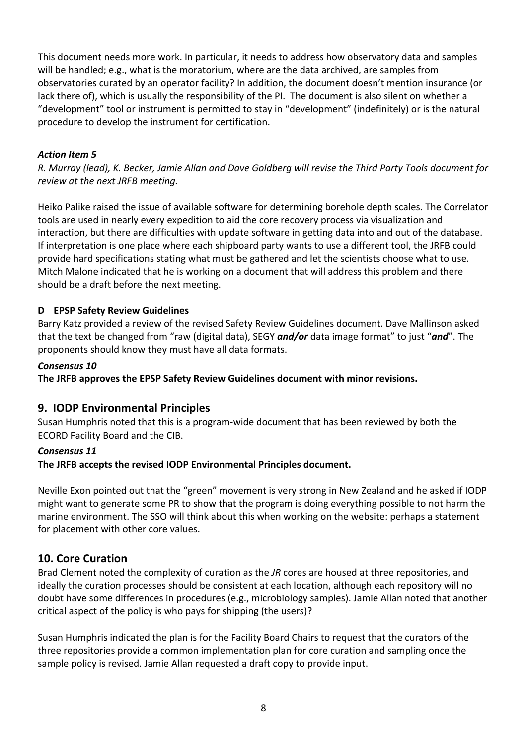This document needs more work. In particular, it needs to address how observatory data and samples will be handled; e.g., what is the moratorium, where are the data archived, are samples from observatories curated by an operator facility? In addition, the document doesn't mention insurance (or lack there of), which is usually the responsibility of the PI. The document is also silent on whether a "development" tool or instrument is permitted to stay in "development" (indefinitely) or is the natural procedure to develop the instrument for certification.

# **Action Item 5**

*R. Murray (lead), K. Becker, Jamie Allan and Dave Goldberg will revise the Third Party Tools document for review at the next JRFB meeting.* 

Heiko Palike raised the issue of available software for determining borehole depth scales. The Correlator tools are used in nearly every expedition to aid the core recovery process via visualization and interaction, but there are difficulties with update software in getting data into and out of the database. If interpretation is one place where each shipboard party wants to use a different tool, the JRFB could provide hard specifications stating what must be gathered and let the scientists choose what to use. Mitch Malone indicated that he is working on a document that will address this problem and there should be a draft before the next meeting.

# **D EPSP Safety Review Guidelines**

Barry Katz provided a review of the revised Safety Review Guidelines document. Dave Mallinson asked that the text be changed from "raw (digital data), SEGY *and/or* data image format" to just "*and*". The proponents should know they must have all data formats.

### *Consensus 10*

The JRFB approves the EPSP Safety Review Guidelines document with minor revisions.

# **9. IODP Environmental Principles**

Susan Humphris noted that this is a program-wide document that has been reviewed by both the ECORD Facility Board and the CIB.

#### *Consensus 11*

The JRFB accepts the revised IODP Environmental Principles document.

Neville Exon pointed out that the "green" movement is very strong in New Zealand and he asked if IODP might want to generate some PR to show that the program is doing everything possible to not harm the marine environment. The SSO will think about this when working on the website: perhaps a statement for placement with other core values.

# **10. Core Curation**

Brad Clement noted the complexity of curation as the *JR* cores are housed at three repositories, and ideally the curation processes should be consistent at each location, although each repository will no doubt have some differences in procedures (e.g., microbiology samples). Jamie Allan noted that another critical aspect of the policy is who pays for shipping (the users)?

Susan Humphris indicated the plan is for the Facility Board Chairs to request that the curators of the three repositories provide a common implementation plan for core curation and sampling once the sample policy is revised. Jamie Allan requested a draft copy to provide input.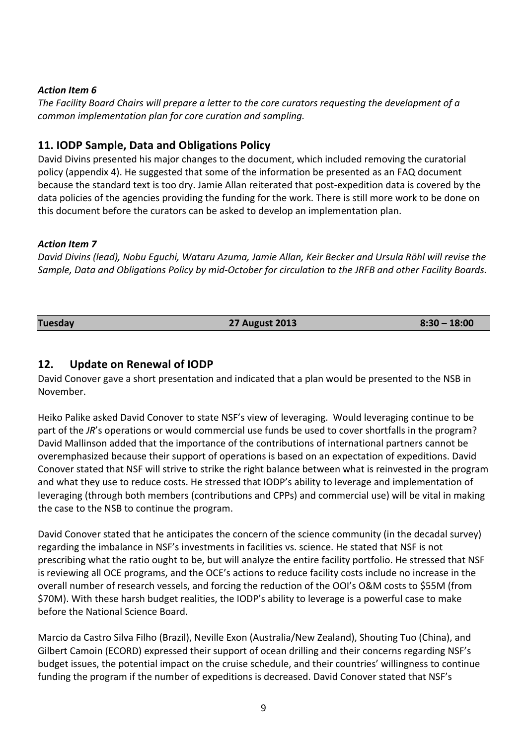#### **Action Item 6**

The Facility Board Chairs will prepare a letter to the core curators requesting the development of a *common implementation plan for core curation and sampling.* 

# **11. IODP Sample, Data and Obligations Policy**

David Divins presented his major changes to the document, which included removing the curatorial policy (appendix 4). He suggested that some of the information be presented as an FAQ document because the standard text is too dry. Jamie Allan reiterated that post-expedition data is covered by the data policies of the agencies providing the funding for the work. There is still more work to be done on this document before the curators can be asked to develop an implementation plan.

#### Action Item 7

*David Divins (lead), Nobu Equchi, Wataru Azuma, Jamie Allan, Keir Becker and Ursula Röhl will revise the* Sample, Data and Obligations Policy by mid-October for circulation to the JRFB and other Facility Boards.

#### **Tuesday 27 August 2013 8:30 – 18:00**

### 12. **Update on Renewal of IODP**

David Conover gave a short presentation and indicated that a plan would be presented to the NSB in November.

Heiko Palike asked David Conover to state NSF's view of leveraging. Would leveraging continue to be part of the JR's operations or would commercial use funds be used to cover shortfalls in the program? David Mallinson added that the importance of the contributions of international partners cannot be overemphasized because their support of operations is based on an expectation of expeditions. David Conover stated that NSF will strive to strike the right balance between what is reinvested in the program and what they use to reduce costs. He stressed that IODP's ability to leverage and implementation of leveraging (through both members (contributions and CPPs) and commercial use) will be vital in making the case to the NSB to continue the program.

David Conover stated that he anticipates the concern of the science community (in the decadal survey) regarding the imbalance in NSF's investments in facilities vs. science. He stated that NSF is not prescribing what the ratio ought to be, but will analyze the entire facility portfolio. He stressed that NSF is reviewing all OCE programs, and the OCE's actions to reduce facility costs include no increase in the overall number of research vessels, and forcing the reduction of the OOI's O&M costs to \$55M (from \$70M). With these harsh budget realities, the IODP's ability to leverage is a powerful case to make before the National Science Board.

Marcio da Castro Silva Filho (Brazil), Neville Exon (Australia/New Zealand), Shouting Tuo (China), and Gilbert Camoin (ECORD) expressed their support of ocean drilling and their concerns regarding NSF's budget issues, the potential impact on the cruise schedule, and their countries' willingness to continue funding the program if the number of expeditions is decreased. David Conover stated that NSF's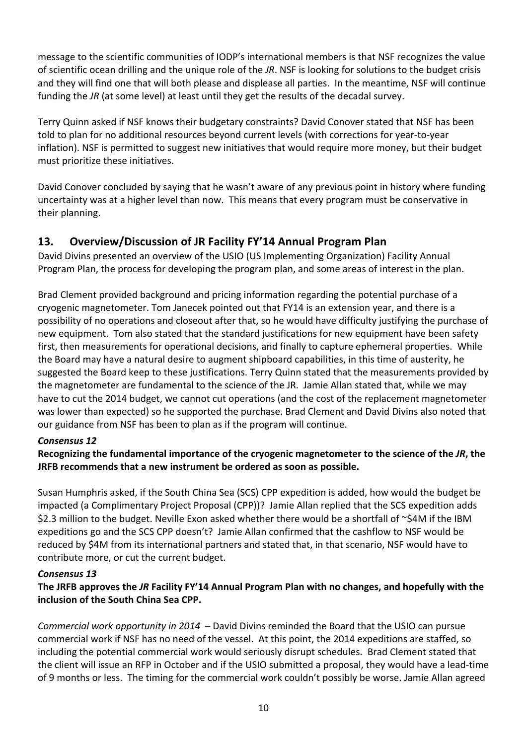message to the scientific communities of IODP's international members is that NSF recognizes the value of scientific ocean drilling and the unique role of the *JR*. NSF is looking for solutions to the budget crisis and they will find one that will both please and displease all parties. In the meantime, NSF will continue funding the *JR* (at some level) at least until they get the results of the decadal survey.

Terry Quinn asked if NSF knows their budgetary constraints? David Conover stated that NSF has been told to plan for no additional resources beyond current levels (with corrections for year-to-year inflation). NSF is permitted to suggest new initiatives that would require more money, but their budget must prioritize these initiatives.

David Conover concluded by saying that he wasn't aware of any previous point in history where funding uncertainty was at a higher level than now. This means that every program must be conservative in their planning.

# 13. Overview/Discussion of JR Facility FY'14 Annual Program Plan

David Divins presented an overview of the USIO (US Implementing Organization) Facility Annual Program Plan, the process for developing the program plan, and some areas of interest in the plan.

Brad Clement provided background and pricing information regarding the potential purchase of a cryogenic magnetometer. Tom Janecek pointed out that FY14 is an extension year, and there is a possibility of no operations and closeout after that, so he would have difficulty justifying the purchase of new equipment. Tom also stated that the standard justifications for new equipment have been safety first, then measurements for operational decisions, and finally to capture ephemeral properties. While the Board may have a natural desire to augment shipboard capabilities, in this time of austerity, he suggested the Board keep to these justifications. Terry Quinn stated that the measurements provided by the magnetometer are fundamental to the science of the JR. Jamie Allan stated that, while we may have to cut the 2014 budget, we cannot cut operations (and the cost of the replacement magnetometer was lower than expected) so he supported the purchase. Brad Clement and David Divins also noted that our guidance from NSF has been to plan as if the program will continue.

# *Consensus 12*

# **Recognizing the fundamental importance of the cryogenic magnetometer to the science of the** *JR***, the JRFB** recommends that a new instrument be ordered as soon as possible.

Susan Humphris asked, if the South China Sea (SCS) CPP expedition is added, how would the budget be impacted (a Complimentary Project Proposal (CPP))? Jamie Allan replied that the SCS expedition adds \$2.3 million to the budget. Neville Exon asked whether there would be a shortfall of  $\sim$ \$4M if the IBM expeditions go and the SCS CPP doesn't? Jamie Allan confirmed that the cashflow to NSF would be reduced by \$4M from its international partners and stated that, in that scenario, NSF would have to contribute more, or cut the current budget.

#### *Consensus 13*

# The JRFB approves the JR Facility FY'14 Annual Program Plan with no changes, and hopefully with the **inclusion of the South China Sea CPP.**

*Commercial work opportunity in 2014* – David Divins reminded the Board that the USIO can pursue commercial work if NSF has no need of the vessel. At this point, the 2014 expeditions are staffed, so including the potential commercial work would seriously disrupt schedules. Brad Clement stated that the client will issue an RFP in October and if the USIO submitted a proposal, they would have a lead-time of 9 months or less. The timing for the commercial work couldn't possibly be worse. Jamie Allan agreed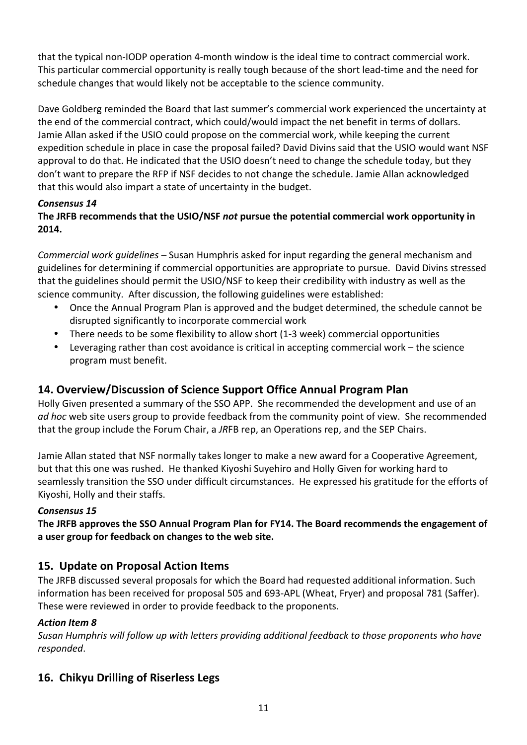that the typical non-IODP operation 4-month window is the ideal time to contract commercial work. This particular commercial opportunity is really tough because of the short lead-time and the need for schedule changes that would likely not be acceptable to the science community.

Dave Goldberg reminded the Board that last summer's commercial work experienced the uncertainty at the end of the commercial contract, which could/would impact the net benefit in terms of dollars. Jamie Allan asked if the USIO could propose on the commercial work, while keeping the current expedition schedule in place in case the proposal failed? David Divins said that the USIO would want NSF approval to do that. He indicated that the USIO doesn't need to change the schedule today, but they don't want to prepare the RFP if NSF decides to not change the schedule. Jamie Allan acknowledged that this would also impart a state of uncertainty in the budget.

# *Consensus 14*

# The JRFB recommends that the USIO/NSF not pursue the potential commercial work opportunity in **2014.**

*Commercial work guidelines* – Susan Humphris asked for input regarding the general mechanism and guidelines for determining if commercial opportunities are appropriate to pursue. David Divins stressed that the guidelines should permit the USIO/NSF to keep their credibility with industry as well as the science community. After discussion, the following guidelines were established:

- Once the Annual Program Plan is approved and the budget determined, the schedule cannot be disrupted significantly to incorporate commercial work
- There needs to be some flexibility to allow short (1-3 week) commercial opportunities
- Leveraging rather than cost avoidance is critical in accepting commercial work  $-$  the science program must benefit.

# **14. Overview/Discussion of Science Support Office Annual Program Plan**

Holly Given presented a summary of the SSO APP. She recommended the development and use of an *ad hoc* web site users group to provide feedback from the community point of view. She recommended that the group include the Forum Chair, a JRFB rep, an Operations rep, and the SEP Chairs.

Jamie Allan stated that NSF normally takes longer to make a new award for a Cooperative Agreement, but that this one was rushed. He thanked Kiyoshi Suyehiro and Holly Given for working hard to seamlessly transition the SSO under difficult circumstances. He expressed his gratitude for the efforts of Kiyoshi, Holly and their staffs.

#### *Consensus 15*

The JRFB approves the SSO Annual Program Plan for FY14. The Board recommends the engagement of a user group for feedback on changes to the web site.

# **15. Update on Proposal Action Items**

The JRFB discussed several proposals for which the Board had requested additional information. Such information has been received for proposal 505 and 693-APL (Wheat, Fryer) and proposal 781 (Saffer). These were reviewed in order to provide feedback to the proponents.

# **Action Item 8**

*Susan Humphris will follow up with letters providing additional feedback to those proponents who have responded*.

# **16. Chikyu Drilling of Riserless Legs**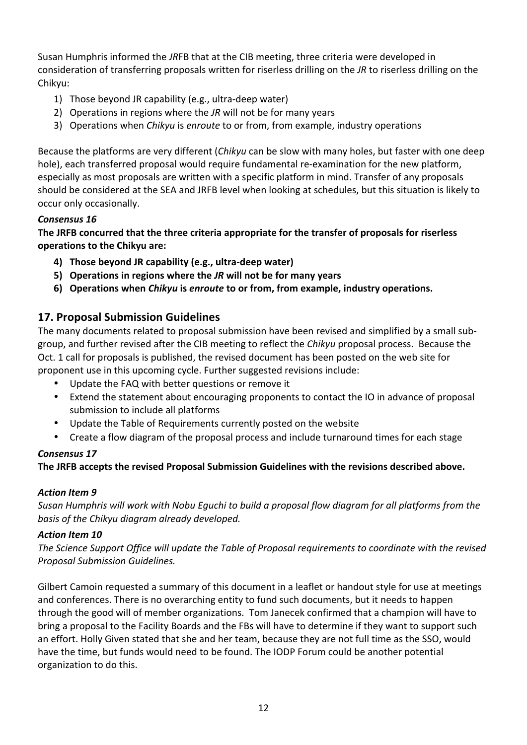Susan Humphris informed the *JRFB* that at the CIB meeting, three criteria were developed in consideration of transferring proposals written for riserless drilling on the *JR* to riserless drilling on the Chikyu:

- 1) Those beyond JR capability (e.g., ultra-deep water)
- 2) Operations in regions where the *JR* will not be for many years
- 3) Operations when *Chikyu* is *enroute* to or from, from example, industry operations

Because the platforms are very different *(Chikyu* can be slow with many holes, but faster with one deep hole), each transferred proposal would require fundamental re-examination for the new platform, especially as most proposals are written with a specific platform in mind. Transfer of any proposals should be considered at the SEA and JRFB level when looking at schedules, but this situation is likely to occur only occasionally.

# *Consensus 16*

**The JRFB concurred that the three criteria appropriate for the transfer of proposals for riserless operations to the Chikyu are:**

- **4) Those beyond JR capability (e.g., ultra-deep water)**
- **5)** Operations in regions where the *JR* will not be for many years
- **6)** Operations when *Chikyu* is *enroute* to or from, from example, industry operations.

# **17. Proposal Submission Guidelines**

The many documents related to proposal submission have been revised and simplified by a small subgroup, and further revised after the CIB meeting to reflect the *Chikyu* proposal process. Because the Oct. 1 call for proposals is published, the revised document has been posted on the web site for proponent use in this upcoming cycle. Further suggested revisions include:

- Update the FAQ with better questions or remove it
- Extend the statement about encouraging proponents to contact the IO in advance of proposal submission to include all platforms
- Update the Table of Requirements currently posted on the website
- Create a flow diagram of the proposal process and include turnaround times for each stage

# *Consensus 17*

The JRFB accepts the revised Proposal Submission Guidelines with the revisions described above.

# **Action Item 9**

Susan Humphris will work with Nobu Equchi to build a proposal flow diagram for all platforms from the basis of the Chikyu diagram already developed.

# Action Item 10

The Science Support Office will update the Table of Proposal requirements to coordinate with the revised *Proposal Submission Guidelines.*

Gilbert Camoin requested a summary of this document in a leaflet or handout style for use at meetings and conferences. There is no overarching entity to fund such documents, but it needs to happen through the good will of member organizations. Tom Janecek confirmed that a champion will have to bring a proposal to the Facility Boards and the FBs will have to determine if they want to support such an effort. Holly Given stated that she and her team, because they are not full time as the SSO, would have the time, but funds would need to be found. The IODP Forum could be another potential organization to do this.